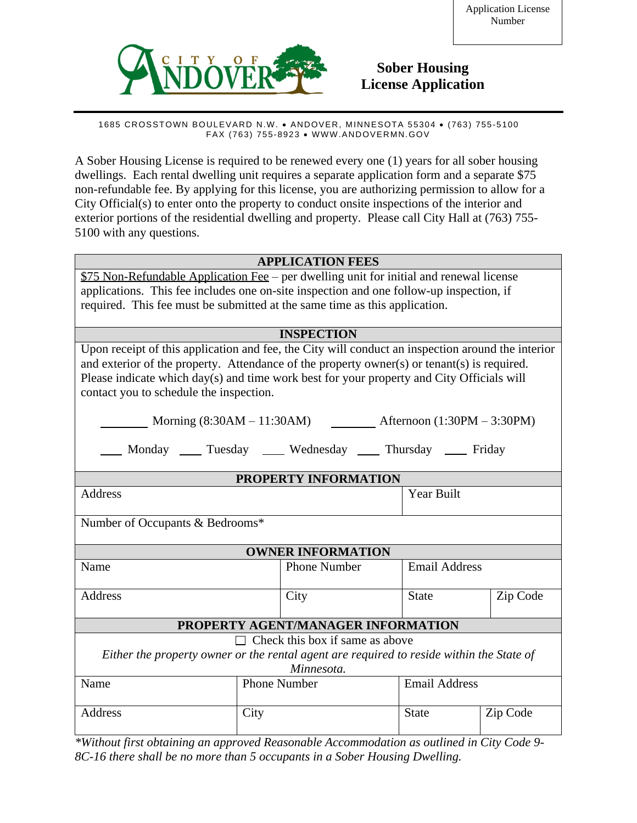

# **Sober Housing License Application**

1685 CROSSTOWN BOULEVARD N.W. · ANDOVER, MINNESOTA 55304 · (763) 755-5100 FAX (763) 755-8923 · WWW.ANDOVERMN.GOV

A Sober Housing License is required to be renewed every one (1) years for all sober housing dwellings. Each rental dwelling unit requires a separate application form and a separate \$75 non-refundable fee. By applying for this license, you are authorizing permission to allow for a City Official(s) to enter onto the property to conduct onsite inspections of the interior and exterior portions of the residential dwelling and property. Please call City Hall at (763) 755- 5100 with any questions.

### **APPLICATION FEES**

\$75 Non-Refundable Application Fee – per dwelling unit for initial and renewal license applications. This fee includes one on-site inspection and one follow-up inspection, if required. This fee must be submitted at the same time as this application.

## **INSPECTION**

| INSPECTION                                                                                        |      |                     |                      |          |  |
|---------------------------------------------------------------------------------------------------|------|---------------------|----------------------|----------|--|
| Upon receipt of this application and fee, the City will conduct an inspection around the interior |      |                     |                      |          |  |
| and exterior of the property. Attendance of the property owner(s) or tenant(s) is required.       |      |                     |                      |          |  |
| Please indicate which day(s) and time work best for your property and City Officials will         |      |                     |                      |          |  |
| contact you to schedule the inspection.                                                           |      |                     |                      |          |  |
|                                                                                                   |      |                     |                      |          |  |
| Morning $(8:30AM - 11:30AM)$ Afternoon $(1:30PM - 3:30PM)$                                        |      |                     |                      |          |  |
| Monday ______ Tuesday ______ Wednesday ______ Thursday ______ Friday                              |      |                     |                      |          |  |
| PROPERTY INFORMATION                                                                              |      |                     |                      |          |  |
|                                                                                                   |      |                     |                      |          |  |
| Address                                                                                           |      |                     | <b>Year Built</b>    |          |  |
|                                                                                                   |      |                     |                      |          |  |
| Number of Occupants & Bedrooms*                                                                   |      |                     |                      |          |  |
| <b>OWNER INFORMATION</b>                                                                          |      |                     |                      |          |  |
| Name                                                                                              |      | <b>Phone Number</b> | <b>Email Address</b> |          |  |
|                                                                                                   |      |                     |                      |          |  |
| Address                                                                                           |      | City                | <b>State</b>         | Zip Code |  |
|                                                                                                   |      |                     |                      |          |  |
| PROPERTY AGENT/MANAGER INFORMATION                                                                |      |                     |                      |          |  |
| $\Box$ Check this box if same as above                                                            |      |                     |                      |          |  |
| Either the property owner or the rental agent are required to reside within the State of          |      |                     |                      |          |  |
| Minnesota.                                                                                        |      |                     |                      |          |  |
| Name                                                                                              |      | <b>Phone Number</b> | <b>Email Address</b> |          |  |
|                                                                                                   |      |                     |                      |          |  |
| Address                                                                                           | City |                     | <b>State</b>         | Zip Code |  |
|                                                                                                   |      |                     |                      |          |  |
|                                                                                                   |      |                     |                      |          |  |

*\*Without first obtaining an approved Reasonable Accommodation as outlined in City Code 9- 8C-16 there shall be no more than 5 occupants in a Sober Housing Dwelling.*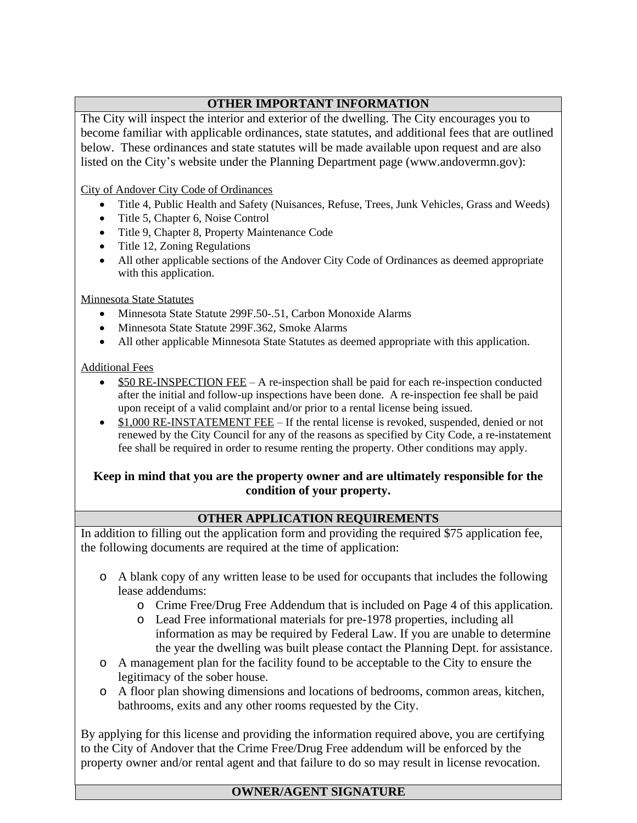# **OTHER IMPORTANT INFORMATION**

The City will inspect the interior and exterior of the dwelling. The City encourages you to become familiar with applicable ordinances, state statutes, and additional fees that are outlined below. These ordinances and state statutes will be made available upon request and are also listed on the City's website under the Planning Department page [\(www.andovermn.gov](http://www.andovermn.gov)):

City of Andover City Code of Ordinances

- · Title 4, Public Health and Safety (Nuisances, Refuse, Trees, Junk Vehicles, Grass and Weeds)
- Title 5, Chapter 6, Noise Control
- · Title 9, Chapter 8, Property Maintenance Code
- Title 12, Zoning Regulations
- · All other applicable sections of the Andover City Code of Ordinances as deemed appropriate with this application.

Minnesota State Statutes

- Minnesota State Statute 299F.50-.51, Carbon Monoxide Alarms
- Minnesota State Statute 299F.362, Smoke Alarms
- · All other applicable Minnesota State Statutes as deemed appropriate with this application.

### Additional Fees

- · \$50 RE-INSPECTION FEE A re-inspection shall be paid for each re-inspection conducted after the initial and follow-up inspections have been done. A re-inspection fee shall be paid upon receipt of a valid complaint and/or prior to a rental license being issued.
- · \$1,000 RE-INSTATEMENT FEE If the rental license is revoked, suspended, denied or not renewed by the City Council for any of the reasons as specified by City Code, a re-instatement fee shall be required in order to resume renting the property. Other conditions may apply.

## **Keep in mind that you are the property owner and are ultimately responsible for the condition of your property.**

## **OTHER APPLICATION REQUIREMENTS**

In addition to filling out the application form and providing the required \$75 application fee, the following documents are required at the time of application:

- o A blank copy of any written lease to be used for occupants that includes the following lease addendums:
	- o Crime Free/Drug Free Addendum that is included on Page 4 of this application.
	- o Lead Free informational materials for pre-1978 properties, including all information as may be required by Federal Law. If you are unable to determine the year the dwelling was built please contact the Planning Dept. for assistance.
- o A management plan for the facility found to be acceptable to the City to ensure the legitimacy of the sober house.
- o A floor plan showing dimensions and locations of bedrooms, common areas, kitchen, bathrooms, exits and any other rooms requested by the City.

By applying for this license and providing the information required above, you are certifying to the City of Andover that the Crime Free/Drug Free addendum will be enforced by the property owner and/or rental agent and that failure to do so may result in license revocation.

# **OWNER/AGENT SIGNATURE**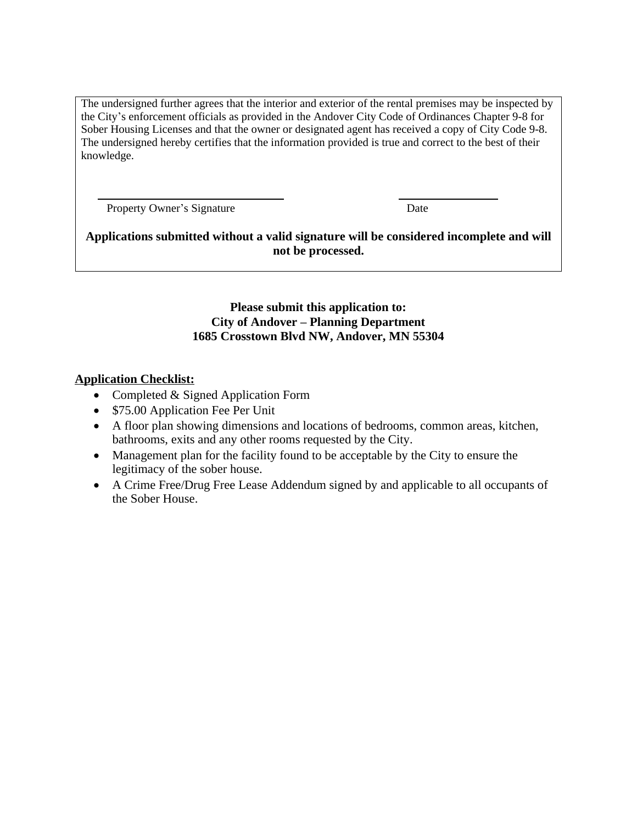The undersigned further agrees that the interior and exterior of the rental premises may be inspected by the City's enforcement officials as provided in the Andover City Code of Ordinances Chapter 9-8 for Sober Housing Licenses and that the owner or designated agent has received a copy of City Code 9-8. The undersigned hereby certifies that the information provided is true and correct to the best of their knowledge.

Property Owner's Signature Date

**Applications submitted without a valid signature will be considered incomplete and will not be processed.**

> **Please submit this application to: City of Andover – Planning Department 1685 Crosstown Blvd NW, Andover, MN 55304**

## **Application Checklist:**

- Completed & Signed Application Form
- \$75.00 Application Fee Per Unit
- · A floor plan showing dimensions and locations of bedrooms, common areas, kitchen, bathrooms, exits and any other rooms requested by the City.
- · Management plan for the facility found to be acceptable by the City to ensure the legitimacy of the sober house.
- · A Crime Free/Drug Free Lease Addendum signed by and applicable to all occupants of the Sober House.